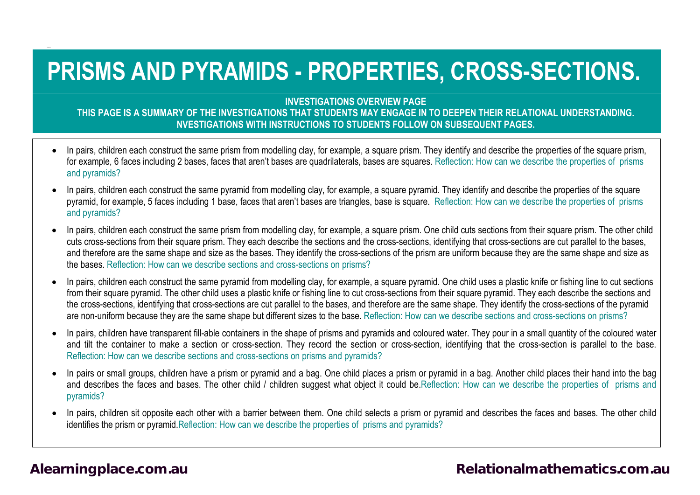# **PRISMS AND PYRAMIDS - PROPERTIES, CROSS-SECTIONS.**

**INVESTIGATIONS OVERVIEW PAGE**

**THIS PAGE IS A SUMMARY OF THE INVESTIGATIONS THAT STUDENTS MAY ENGAGE IN TO DEEPEN THEIR RELATIONAL UNDERSTANDING. NVESTIGATIONS WITH INSTRUCTIONS TO STUDENTS FOLLOW ON SUBSEQUENT PAGES.**

- In pairs, children each construct the same prism from modelling clay, for example, a square prism. They identify and describe the properties of the square prism, for example, 6 faces including 2 bases, faces that aren't bases are quadrilaterals, bases are squares. Reflection: How can we describe the properties of prisms and pyramids?
- In pairs, children each construct the same pyramid from modelling clay, for example, a square pyramid. They identify and describe the properties of the square pyramid, for example, 5 faces including 1 base, faces that aren't bases are triangles, base is square. Reflection: How can we describe the properties of prisms and pyramids?
- In pairs, children each construct the same prism from modelling clay, for example, a square prism. One child cuts sections from their square prism. The other child cuts cross-sections from their square prism. They each describe the sections and the cross-sections, identifying that cross-sections are cut parallel to the bases, and therefore are the same shape and size as the bases. They identify the cross-sections of the prism are uniform because they are the same shape and size as the bases. Reflection: How can we describe sections and cross-sections on prisms?
- In pairs, children each construct the same pyramid from modelling clay, for example, a square pyramid. One child uses a plastic knife or fishing line to cut sections from their square pyramid. The other child uses a plastic knife or fishing line to cut cross-sections from their square pyramid. They each describe the sections and the cross-sections, identifying that cross-sections are cut parallel to the bases, and therefore are the same shape. They identify the cross-sections of the pyramid are non-uniform because they are the same shape but different sizes to the base. Reflection: How can we describe sections and cross-sections on prisms?
- In pairs, children have transparent fill-able containers in the shape of prisms and pyramids and coloured water. They pour in a small quantity of the coloured water and tilt the container to make a section or cross-section. They record the section or cross-section, identifying that the cross-section is parallel to the base. Reflection: How can we describe sections and cross-sections on prisms and pyramids?
- In pairs or small groups, children have a prism or pyramid and a bag. One child places a prism or pyramid in a bag. Another child places their hand into the bag and describes the faces and bases. The other child / children suggest what object it could be.Reflection: How can we describe the properties of prisms and pyramids?
- In pairs, children sit opposite each other with a barrier between them. One child selects a prism or pyramid and describes the faces and bases. The other child identifies the prism or pyramid.Reflection: How can we describe the properties of prisms and pyramids?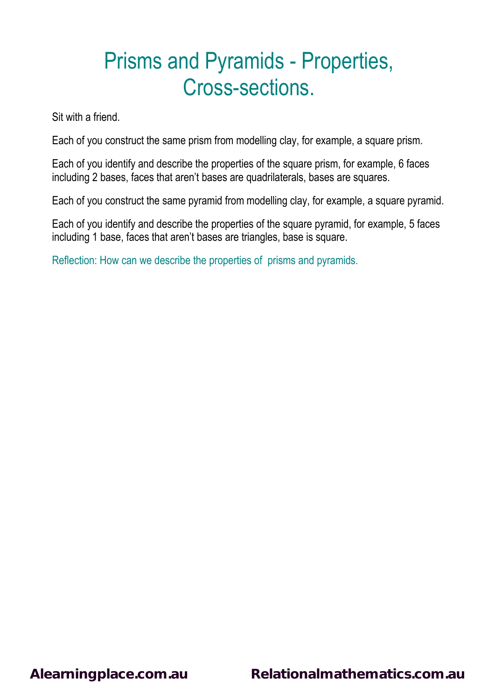Sit with a friend.

Each of you construct the same prism from modelling clay, for example, a square prism.

Each of you identify and describe the properties of the square prism, for example, 6 faces including 2 bases, faces that aren't bases are quadrilaterals, bases are squares.

Each of you construct the same pyramid from modelling clay, for example, a square pyramid.

Each of you identify and describe the properties of the square pyramid, for example, 5 faces including 1 base, faces that aren't bases are triangles, base is square.

Reflection: How can we describe the properties of prisms and pyramids.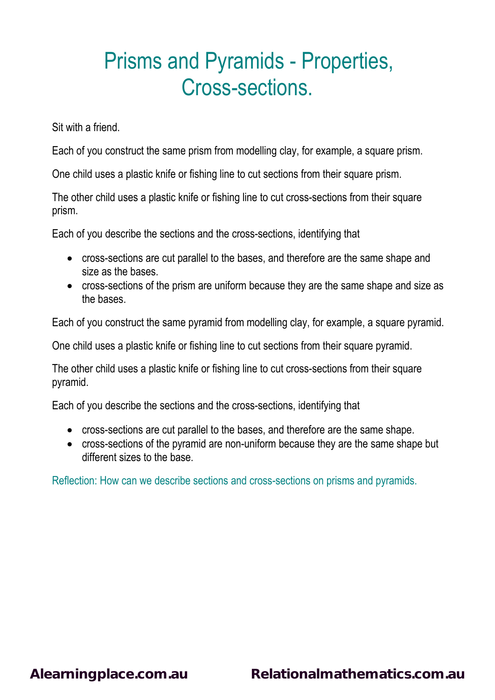Sit with a friend.

Each of you construct the same prism from modelling clay, for example, a square prism.

One child uses a plastic knife or fishing line to cut sections from their square prism.

The other child uses a plastic knife or fishing line to cut cross-sections from their square prism.

Each of you describe the sections and the cross-sections, identifying that

- cross-sections are cut parallel to the bases, and therefore are the same shape and size as the bases.
- cross-sections of the prism are uniform because they are the same shape and size as the bases.

Each of you construct the same pyramid from modelling clay, for example, a square pyramid.

One child uses a plastic knife or fishing line to cut sections from their square pyramid.

The other child uses a plastic knife or fishing line to cut cross-sections from their square pyramid.

Each of you describe the sections and the cross-sections, identifying that

- cross-sections are cut parallel to the bases, and therefore are the same shape.
- cross-sections of the pyramid are non-uniform because they are the same shape but different sizes to the base.

Reflection: How can we describe sections and cross-sections on prisms and pyramids.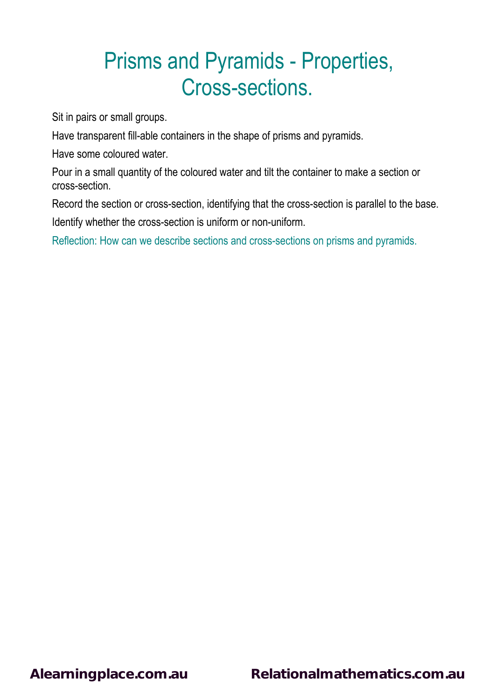Sit in pairs or small groups.

Have transparent fill-able containers in the shape of prisms and pyramids.

Have some coloured water.

Pour in a small quantity of the coloured water and tilt the container to make a section or cross-section.

Record the section or cross-section, identifying that the cross-section is parallel to the base.

Identify whether the cross-section is uniform or non-uniform.

Reflection: How can we describe sections and cross-sections on prisms and pyramids.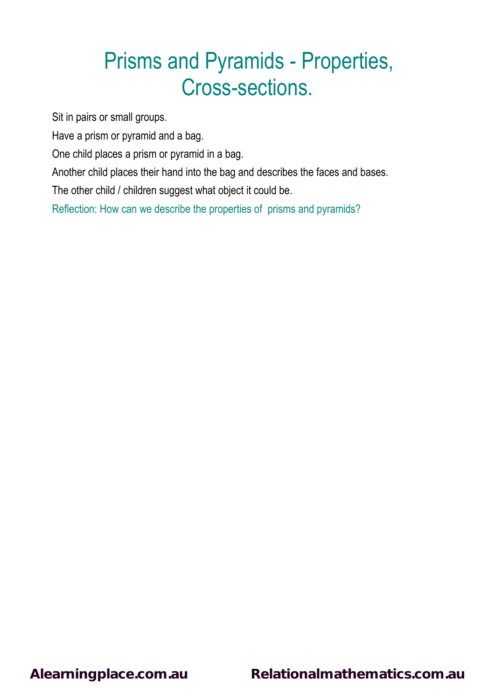Sit in pairs or small groups.

Have a prism or pyramid and a bag.

One child places a prism or pyramid in a bag.

Another child places their hand into the bag and describes the faces and bases.

The other child / children suggest what object it could be.

Reflection: How can we describe the properties of prisms and pyramids?